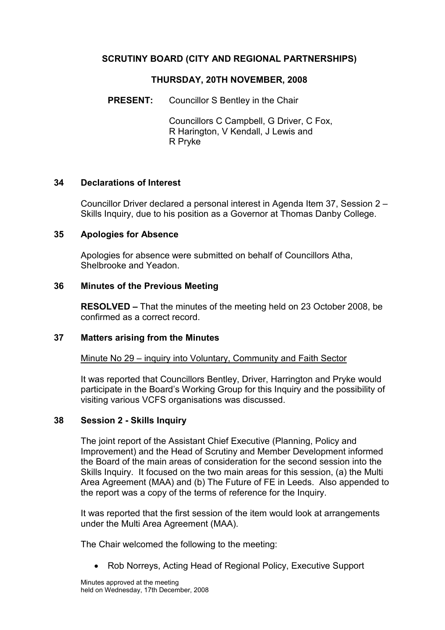# SCRUTINY BOARD (CITY AND REGIONAL PARTNERSHIPS)

## THURSDAY, 20TH NOVEMBER, 2008

PRESENT: Councillor S Bentley in the Chair

 Councillors C Campbell, G Driver, C Fox, R Harington, V Kendall, J Lewis and R Pryke

## 34 Declarations of Interest

Councillor Driver declared a personal interest in Agenda Item 37, Session 2 – Skills Inquiry, due to his position as a Governor at Thomas Danby College.

#### 35 Apologies for Absence

Apologies for absence were submitted on behalf of Councillors Atha, Shelbrooke and Yeadon.

#### 36 Minutes of the Previous Meeting

RESOLVED – That the minutes of the meeting held on 23 October 2008, be confirmed as a correct record.

#### 37 Matters arising from the Minutes

Minute No 29 – inquiry into Voluntary, Community and Faith Sector

It was reported that Councillors Bentley, Driver, Harrington and Pryke would participate in the Board's Working Group for this Inquiry and the possibility of visiting various VCFS organisations was discussed.

## 38 Session 2 - Skills Inquiry

The joint report of the Assistant Chief Executive (Planning, Policy and Improvement) and the Head of Scrutiny and Member Development informed the Board of the main areas of consideration for the second session into the Skills Inquiry. It focused on the two main areas for this session, (a) the Multi Area Agreement (MAA) and (b) The Future of FE in Leeds. Also appended to the report was a copy of the terms of reference for the Inquiry.

It was reported that the first session of the item would look at arrangements under the Multi Area Agreement (MAA).

The Chair welcomed the following to the meeting:

• Rob Norreys, Acting Head of Regional Policy, Executive Support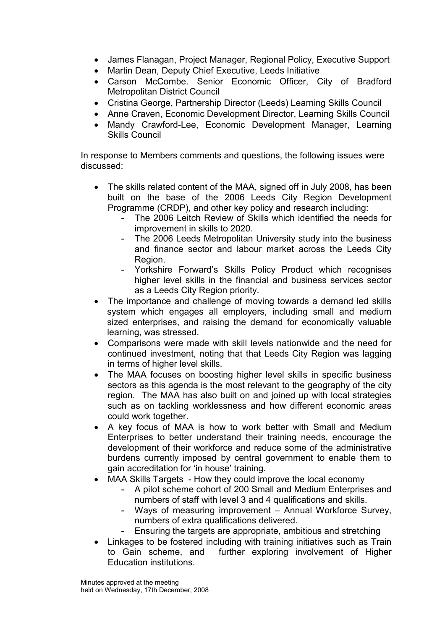- James Flanagan, Project Manager, Regional Policy, Executive Support
- Martin Dean, Deputy Chief Executive, Leeds Initiative
- Carson McCombe. Senior Economic Officer, City of Bradford Metropolitan District Council
- Cristina George, Partnership Director (Leeds) Learning Skills Council
- Anne Craven, Economic Development Director, Learning Skills Council
- Mandy Crawford-Lee, Economic Development Manager, Learning Skills Council

In response to Members comments and questions, the following issues were discussed:

- The skills related content of the MAA, signed off in July 2008, has been built on the base of the 2006 Leeds City Region Development Programme (CRDP), and other key policy and research including:
	- The 2006 Leitch Review of Skills which identified the needs for improvement in skills to 2020.
	- The 2006 Leeds Metropolitan University study into the business and finance sector and labour market across the Leeds City Region.
	- Yorkshire Forward's Skills Policy Product which recognises higher level skills in the financial and business services sector as a Leeds City Region priority.
- The importance and challenge of moving towards a demand led skills system which engages all employers, including small and medium sized enterprises, and raising the demand for economically valuable learning, was stressed.
- Comparisons were made with skill levels nationwide and the need for continued investment, noting that that Leeds City Region was lagging in terms of higher level skills.
- The MAA focuses on boosting higher level skills in specific business sectors as this agenda is the most relevant to the geography of the city region. The MAA has also built on and joined up with local strategies such as on tackling worklessness and how different economic areas could work together.
- A key focus of MAA is how to work better with Small and Medium Enterprises to better understand their training needs, encourage the development of their workforce and reduce some of the administrative burdens currently imposed by central government to enable them to gain accreditation for 'in house' training.
- MAA Skills Targets How they could improve the local economy
	- A pilot scheme cohort of 200 Small and Medium Enterprises and numbers of staff with level 3 and 4 qualifications and skills.
	- Ways of measuring improvement Annual Workforce Survey, numbers of extra qualifications delivered.
	- Ensuring the targets are appropriate, ambitious and stretching
- Linkages to be fostered including with training initiatives such as Train to Gain scheme, and further exploring involvement of Higher Education institutions.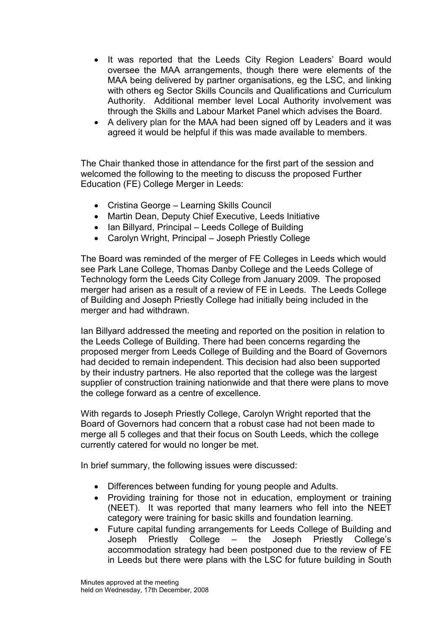- It was reported that the Leeds City Region Leaders' Board would oversee the MAA arrangements, though there were elements of the MAA being delivered by partner organisations, eg the LSC, and linking with others eg Sector Skills Councils and Qualifications and Curriculum Authority. Additional member level Local Authority involvement was through the Skills and Labour Market Panel which advises the Board.
- A delivery plan for the MAA had been signed off by Leaders and it was agreed it would be helpful if this was made available to members.

The Chair thanked those in attendance for the first part of the session and welcomed the following to the meeting to discuss the proposed Further Education (FE) College Merger in Leeds:

- Cristina George Learning Skills Council
- Martin Dean, Deputy Chief Executive, Leeds Initiative
- Ian Billyard, Principal Leeds College of Building
- Carolyn Wright, Principal Joseph Priestly College

The Board was reminded of the merger of FE Colleges in Leeds which would see Park Lane College, Thomas Danby College and the Leeds College of Technology form the Leeds City College from January 2009. The proposed merger had arisen as a result of a review of FE in Leeds. The Leeds College of Building and Joseph Priestly College had initially being included in the merger and had withdrawn.

Ian Billyard addressed the meeting and reported on the position in relation to the Leeds College of Building. There had been concerns regarding the proposed merger from Leeds College of Building and the Board of Governors had decided to remain independent. This decision had also been supported by their industry partners. He also reported that the college was the largest supplier of construction training nationwide and that there were plans to move the college forward as a centre of excellence.

With regards to Joseph Priestly College, Carolyn Wright reported that the Board of Governors had concern that a robust case had not been made to merge all 5 colleges and that their focus on South Leeds, which the college currently catered for would no longer be met.

In brief summary, the following issues were discussed:

- Differences between funding for young people and Adults.
- Providing training for those not in education, employment or training (NEET). It was reported that many learners who fell into the NEET category were training for basic skills and foundation learning.
- Future capital funding arrangements for Leeds College of Building and Joseph Priestly College – the Joseph Priestly College's accommodation strategy had been postponed due to the review of FE in Leeds but there were plans with the LSC for future building in South